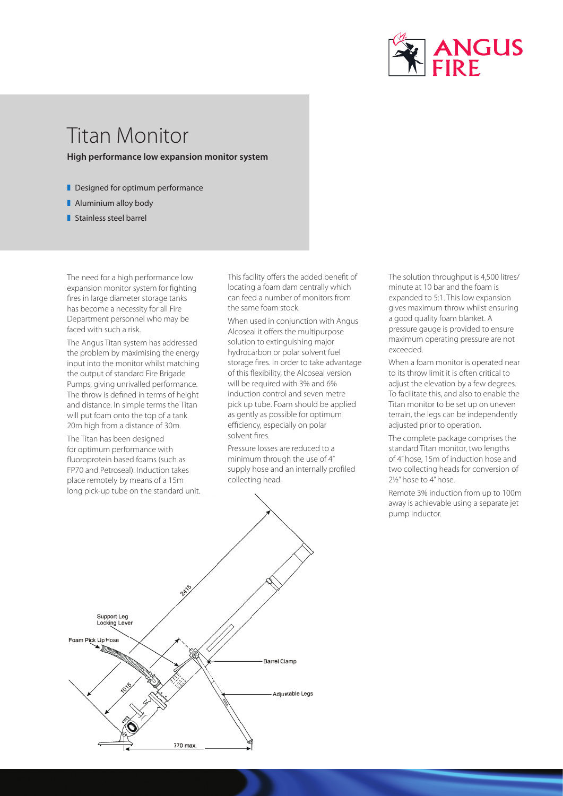

## Titan Monitor

**High performance low expansion monitor system**

- $\blacksquare$  Designed for optimum performance
- **Aluminium alloy body**
- Stainless steel barrel

The need for a high performance low expansion monitor system for fighting fires in large diameter storage tanks has become a necessity for all Fire Department personnel who may be faced with such a risk.

The Angus Titan system has addressed the problem by maximising the energy input into the monitor whilst matching the output of standard Fire Brigade Pumps, giving unrivalled performance. The throw is defined in terms of height and distance. In simple terms the Titan will put foam onto the top of a tank 20m high from a distance of 30m.

The Titan has been designed for optimum performance with fluoroprotein based foams (such as FP70 and Petroseal). Induction takes place remotely by means of a 15m long pick-up tube on the standard unit. This facility offers the added benefit of locating a foam dam centrally which can feed a number of monitors from the same foam stock.

When used in conjunction with Angus Alcoseal it offers the multipurpose solution to extinguishing major hydrocarbon or polar solvent fuel storage fires. In order to take advantage of this flexibility, the Alcoseal version will be required with 3% and 6% induction control and seven metre pick up tube. Foam should be applied as gently as possible for optimum efficiency, especially on polar solvent fires.

Pressure losses are reduced to a minimum through the use of 4" supply hose and an internally profiled collecting head.



The solution throughput is 4,500 litres/ minute at 10 bar and the foam is expanded to 5:1. This low expansion gives maximum throw whilst ensuring a good quality foam blanket. A pressure gauge is provided to ensure maximum operating pressure are not exceeded.

When a foam monitor is operated near to its throw limit it is often critical to adjust the elevation by a few degrees. To facilitate this, and also to enable the Titan monitor to be set up on uneven terrain, the legs can be independently adjusted prior to operation.

The complete package comprises the standard Titan monitor, two lengths of 4" hose, 15m of induction hose and two collecting heads for conversion of 21/<sub>2</sub>" hose to 4" hose.

Remote 3% induction from up to 100m away is achievable using a separate jet pump inductor.